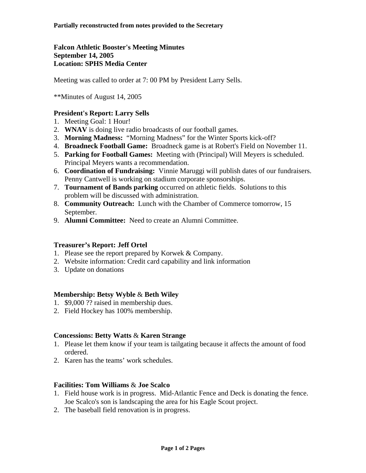# **Falcon Athletic Booster's Meeting Minutes September 14, 2005 Location: SPHS Media Center**

Meeting was called to order at 7: 00 PM by President Larry Sells.

\*\*Minutes of August 14, 2005

# **President's Report: Larry Sells**

- 1. Meeting Goal: 1 Hour!
- 2. **WNAV** is doing live radio broadcasts of our football games.
- 3. **Morning Madness:** "Morning Madness" for the Winter Sports kick-off?
- 4. **Broadneck Football Game:** Broadneck game is at Robert's Field on November 11.
- 5. **Parking for Football Games:** Meeting with (Principal) Will Meyers is scheduled. Principal Meyers wants a recommendation.
- 6. **Coordination of Fundraising:** Vinnie Maruggi will publish dates of our fundraisers. Penny Cantwell is working on stadium corporate sponsorships.
- 7. **Tournament of Bands parking** occurred on athletic fields. Solutions to this problem will be discussed with administration.
- 8. **Community Outreach:** Lunch with the Chamber of Commerce tomorrow, 15 September.
- 9. **Alumni Committee:** Need to create an Alumni Committee.

# **Treasurer's Report: Jeff Ortel**

- 1. Please see the report prepared by Korwek & Company.
- 2. Website information: Credit card capability and link information
- 3. Update on donations

## **Membership: Betsy Wyble** & **Beth Wiley**

- 1. \$9,000 ?? raised in membership dues.
- 2. Field Hockey has 100% membership.

## **Concessions: Betty Watts** & **Karen Strange**

- 1. Please let them know if your team is tailgating because it affects the amount of food ordered.
- 2. Karen has the teams' work schedules.

## **Facilities: Tom Williams** & **Joe Scalco**

- 1. Field house work is in progress. Mid-Atlantic Fence and Deck is donating the fence. Joe Scalco's son is landscaping the area for his Eagle Scout project.
- 2. The baseball field renovation is in progress.